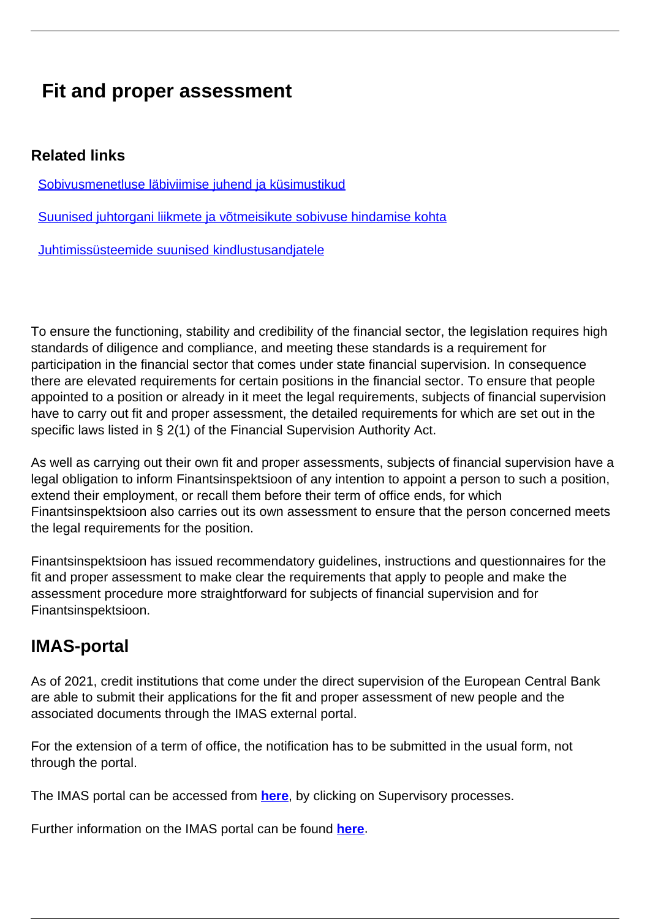## **Fit and proper assessment**

## **Related links**

[Sobivusmenetluse läbiviimise juhend ja küsimustikud](https://www.fi.ee/et/juhendid/pangandus-ja-krediit/sobivusmenetluse-labiviimise-juhend)

[Suunised juhtorgani liikmete ja võtmeisikute sobivuse hindamise kohta](https://www.fi.ee/et/juhendid/investeerimine/suunised-juhtorgani-liikmete-ja-votmeisikute-sobivuse-hindamise-kohta)

[Juhtimissüsteemide suunised kindlustusandjatele](https://www.fi.ee/et/juhendid/kindlustus/juhtimissusteemide-suunised-kindlustusandjatele)

To ensure the functioning, stability and credibility of the financial sector, the legislation requires high standards of diligence and compliance, and meeting these standards is a requirement for participation in the financial sector that comes under state financial supervision. In consequence there are elevated requirements for certain positions in the financial sector. To ensure that people appointed to a position or already in it meet the legal requirements, subjects of financial supervision have to carry out fit and proper assessment, the detailed requirements for which are set out in the specific laws listed in § 2(1) of the Financial Supervision Authority Act.

As well as carrying out their own fit and proper assessments, subjects of financial supervision have a legal obligation to inform Finantsinspektsioon of any intention to appoint a person to such a position, extend their employment, or recall them before their term of office ends, for which Finantsinspektsioon also carries out its own assessment to ensure that the person concerned meets the legal requirements for the position.

Finantsinspektsioon has issued recommendatory guidelines, instructions and questionnaires for the fit and proper assessment to make clear the requirements that apply to people and make the assessment procedure more straightforward for subjects of financial supervision and for Finantsinspektsioon.

## **IMAS-portal**

As of 2021, credit institutions that come under the direct supervision of the European Central Bank are able to submit their applications for the fit and proper assessment of new people and the associated documents through the IMAS external portal.

For the extension of a term of office, the notification has to be submitted in the usual form, not through the portal.

The IMAS portal can be accessed from **[here](https://www.bankingsupervision.europa.eu/banking/portal/html/index.en.html)**, by clicking on Supervisory processes.

Further information on the IMAS portal can be found **[here](https://www.bankingsupervision.europa.eu/banking/portal/imas/html/index.en.html)**.